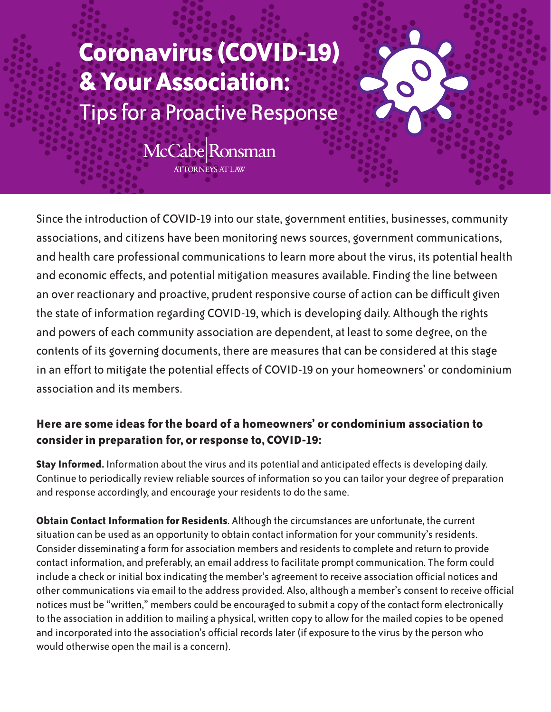## **Coronavirus (COVID-19) & Your Association:** Tips for a Proactive Response

McCabe Ronsman **ATTORNEYS AT LAW** 

Since the introduction of COVID-19 into our state, government entities, businesses, community associations, and citizens have been monitoring news sources, government communications, and health care professional communications to learn more about the virus, its potential health and economic effects, and potential mitigation measures available. Finding the line between an over reactionary and proactive, prudent responsive course of action can be difficult given the state of information regarding COVID-19, which is developing daily. Although the rights and powers of each community association are dependent, at least to some degree, on the contents of its governing documents, there are measures that can be considered at this stage in an effort to mitigate the potential effects of COVID-19 on your homeowners' or condominium association and its members.

## **Here are some ideas for the board of a homeowners' or condominium association to consider in preparation for, or response to, COVID-19:**

**Stay Informed.** Information about the virus and its potential and anticipated effects is developing daily. Continue to periodically review reliable sources of information so you can tailor your degree of preparation and response accordingly, and encourage your residents to do the same.

**Obtain Contact Information for Residents**. Although the circumstances are unfortunate, the current situation can be used as an opportunity to obtain contact information for your community's residents. Consider disseminating a form for association members and residents to complete and return to provide contact information, and preferably, an email address to facilitate prompt communication. The form could include a check or initial box indicating the member's agreement to receive association official notices and other communications via email to the address provided. Also, although a member's consent to receive official notices must be "written," members could be encouraged to submit a copy of the contact form electronically to the association in addition to mailing a physical, written copy to allow for the mailed copies to be opened and incorporated into the association's official records later (if exposure to the virus by the person who would otherwise open the mail is a concern).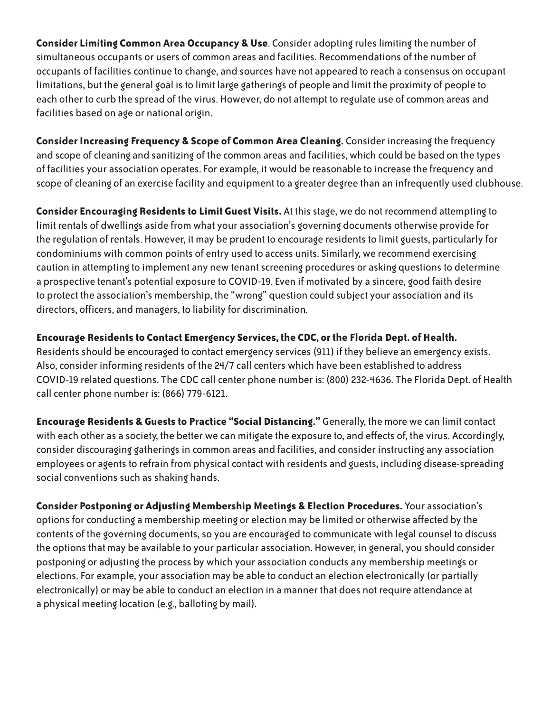**Consider Limiting Common Area Occupancy & Use**. Consider adopting rules limiting the number of simultaneous occupants or users of common areas and facilities. Recommendations of the number of occupants of facilities continue to change, and sources have not appeared to reach a consensus on occupant limitations, but the general goal is to limit large gatherings of people and limit the proximity of people to each other to curb the spread of the virus. However, do not attempt to regulate use of common areas and facilities based on age or national origin.

**Consider Increasing Frequency & Scope of Common Area Cleaning.** Consider increasing the frequency and scope of cleaning and sanitizing of the common areas and facilities, which could be based on the types of facilities your association operates. For example, it would be reasonable to increase the frequency and scope of cleaning of an exercise facility and equipment to a greater degree than an infrequently used clubhouse.

**Consider Encouraging Residents to Limit Guest Visits.** At this stage, we do not recommend attempting to limit rentals of dwellings aside from what your association's governing documents otherwise provide for the regulation of rentals. However, it may be prudent to encourage residents to limit guests, particularly for condominiums with common points of entry used to access units. Similarly, we recommend exercising caution in attempting to implement any new tenant screening procedures or asking questions to determine a prospective tenant's potential exposure to COVID-19. Even if motivated by a sincere, good faith desire to protect the association's membership, the "wrong" question could subject your association and its directors, officers, and managers, to liability for discrimination.

## **Encourage Residents to Contact Emergency Services, the CDC, or the Florida Dept. of Health.**

Residents should be encouraged to contact emergency services (911) if they believe an emergency exists. Also, consider informing residents of the 24/7 call centers which have been established to address COVID-19 related questions. The CDC call center phone number is: (800) 232-4636. The Florida Dept. of Health call center phone number is: (866) 779-6121.

**Encourage Residents & Guests to Practice "Social Distancing."** Generally, the more we can limit contact with each other as a society, the better we can mitigate the exposure to, and effects of, the virus. Accordingly, consider discouraging gatherings in common areas and facilities, and consider instructing any association employees or agents to refrain from physical contact with residents and guests, including disease-spreading social conventions such as shaking hands.

**Consider Postponing or Adjusting Membership Meetings & Election Procedures.** Your association's options for conducting a membership meeting or election may be limited or otherwise affected by the contents of the governing documents, so you are encouraged to communicate with legal counsel to discuss the options that may be available to your particular association. However, in general, you should consider postponing or adjusting the process by which your association conducts any membership meetings or elections. For example, your association may be able to conduct an election electronically (or partially electronically) or may be able to conduct an election in a manner that does not require attendance at a physical meeting location (e.g., balloting by mail).